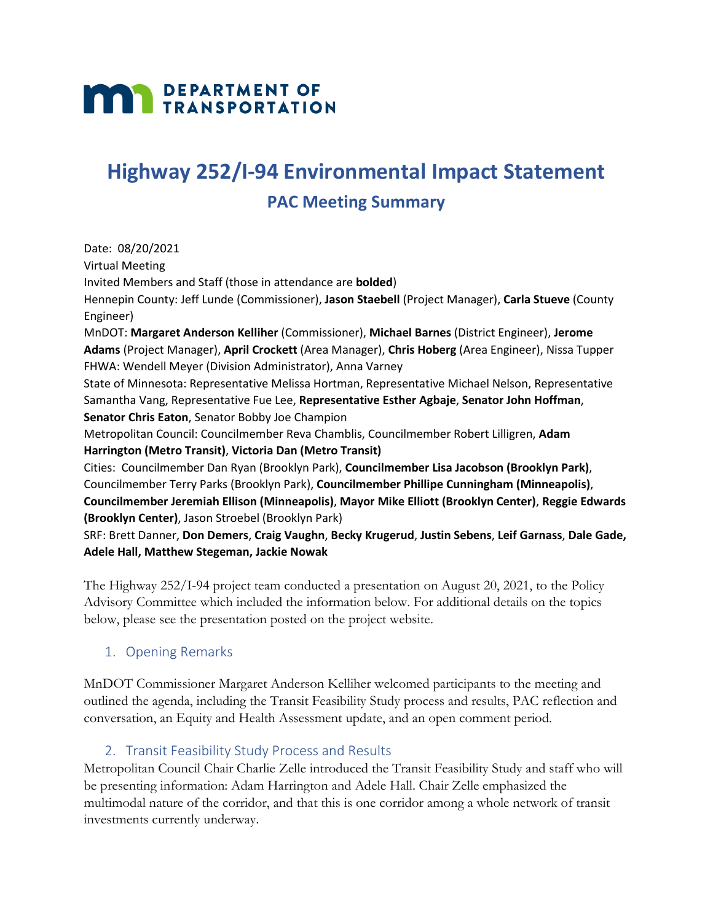# **MAN DEPARTMENT OF TRANSPORTATION**

## **Highway 252/I-94 Environmental Impact Statement**

### **PAC Meeting Summary**

Date: 08/20/2021 Virtual Meeting Invited Members and Staff (those in attendance are **bolded**) Hennepin County: Jeff Lunde (Commissioner), **Jason Staebell** (Project Manager), **Carla Stueve** (County Engineer) MnDOT: **Margaret Anderson Kelliher** (Commissioner), **Michael Barnes** (District Engineer), **Jerome Adams** (Project Manager), **April Crockett** (Area Manager), **Chris Hoberg** (Area Engineer), Nissa Tupper FHWA: Wendell Meyer (Division Administrator), Anna Varney State of Minnesota: Representative Melissa Hortman, Representative Michael Nelson, Representative Samantha Vang, Representative Fue Lee, **Representative Esther Agbaje**, **Senator John Hoffman**, **Senator Chris Eaton**, Senator Bobby Joe Champion Metropolitan Council: Councilmember Reva Chamblis, Councilmember Robert Lilligren, **Adam Harrington (Metro Transit)**, **Victoria Dan (Metro Transit)** Cities: Councilmember Dan Ryan (Brooklyn Park), **Councilmember Lisa Jacobson (Brooklyn Park)**, Councilmember Terry Parks (Brooklyn Park), **Councilmember Phillipe Cunningham (Minneapolis)**, **Councilmember Jeremiah Ellison (Minneapolis)**, **Mayor Mike Elliott (Brooklyn Center)**, **Reggie Edwards (Brooklyn Center)**, Jason Stroebel (Brooklyn Park) SRF: Brett Danner, **Don Demers**, **Craig Vaughn**, **Becky Krugerud**, **Justin Sebens**, **Leif Garnass**, **Dale Gade, Adele Hall, Matthew Stegeman, Jackie Nowak**

The Highway 252/I-94 project team conducted a presentation on August 20, 2021, to the Policy Advisory Committee which included the information below. For additional details on the topics below, please see the presentation posted on the project website.

#### 1. Opening Remarks

MnDOT Commissioner Margaret Anderson Kelliher welcomed participants to the meeting and outlined the agenda, including the Transit Feasibility Study process and results, PAC reflection and conversation, an Equity and Health Assessment update, and an open comment period.

#### 2. Transit Feasibility Study Process and Results

Metropolitan Council Chair Charlie Zelle introduced the Transit Feasibility Study and staff who will be presenting information: Adam Harrington and Adele Hall. Chair Zelle emphasized the multimodal nature of the corridor, and that this is one corridor among a whole network of transit investments currently underway.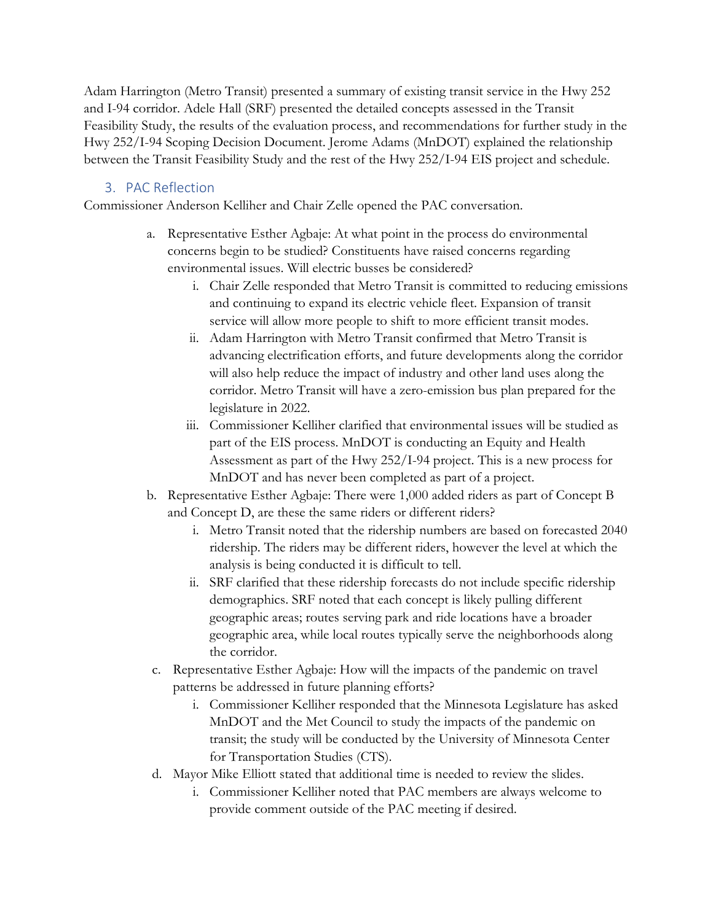Adam Harrington (Metro Transit) presented a summary of existing transit service in the Hwy 252 and I-94 corridor. Adele Hall (SRF) presented the detailed concepts assessed in the Transit Feasibility Study, the results of the evaluation process, and recommendations for further study in the Hwy 252/I-94 Scoping Decision Document. Jerome Adams (MnDOT) explained the relationship between the Transit Feasibility Study and the rest of the Hwy 252/I-94 EIS project and schedule.

#### 3. PAC Reflection

Commissioner Anderson Kelliher and Chair Zelle opened the PAC conversation.

- a. Representative Esther Agbaje: At what point in the process do environmental concerns begin to be studied? Constituents have raised concerns regarding environmental issues. Will electric busses be considered?
	- i. Chair Zelle responded that Metro Transit is committed to reducing emissions and continuing to expand its electric vehicle fleet. Expansion of transit service will allow more people to shift to more efficient transit modes.
	- ii. Adam Harrington with Metro Transit confirmed that Metro Transit is advancing electrification efforts, and future developments along the corridor will also help reduce the impact of industry and other land uses along the corridor. Metro Transit will have a zero-emission bus plan prepared for the legislature in 2022.
	- iii. Commissioner Kelliher clarified that environmental issues will be studied as part of the EIS process. MnDOT is conducting an Equity and Health Assessment as part of the Hwy 252/I-94 project. This is a new process for MnDOT and has never been completed as part of a project.
- b. Representative Esther Agbaje: There were 1,000 added riders as part of Concept B and Concept D, are these the same riders or different riders?
	- i. Metro Transit noted that the ridership numbers are based on forecasted 2040 ridership. The riders may be different riders, however the level at which the analysis is being conducted it is difficult to tell.
	- ii. SRF clarified that these ridership forecasts do not include specific ridership demographics. SRF noted that each concept is likely pulling different geographic areas; routes serving park and ride locations have a broader geographic area, while local routes typically serve the neighborhoods along the corridor.
- c. Representative Esther Agbaje: How will the impacts of the pandemic on travel patterns be addressed in future planning efforts?
	- i. Commissioner Kelliher responded that the Minnesota Legislature has asked MnDOT and the Met Council to study the impacts of the pandemic on transit; the study will be conducted by the University of Minnesota Center for Transportation Studies (CTS).
- d. Mayor Mike Elliott stated that additional time is needed to review the slides.
	- i. Commissioner Kelliher noted that PAC members are always welcome to provide comment outside of the PAC meeting if desired.